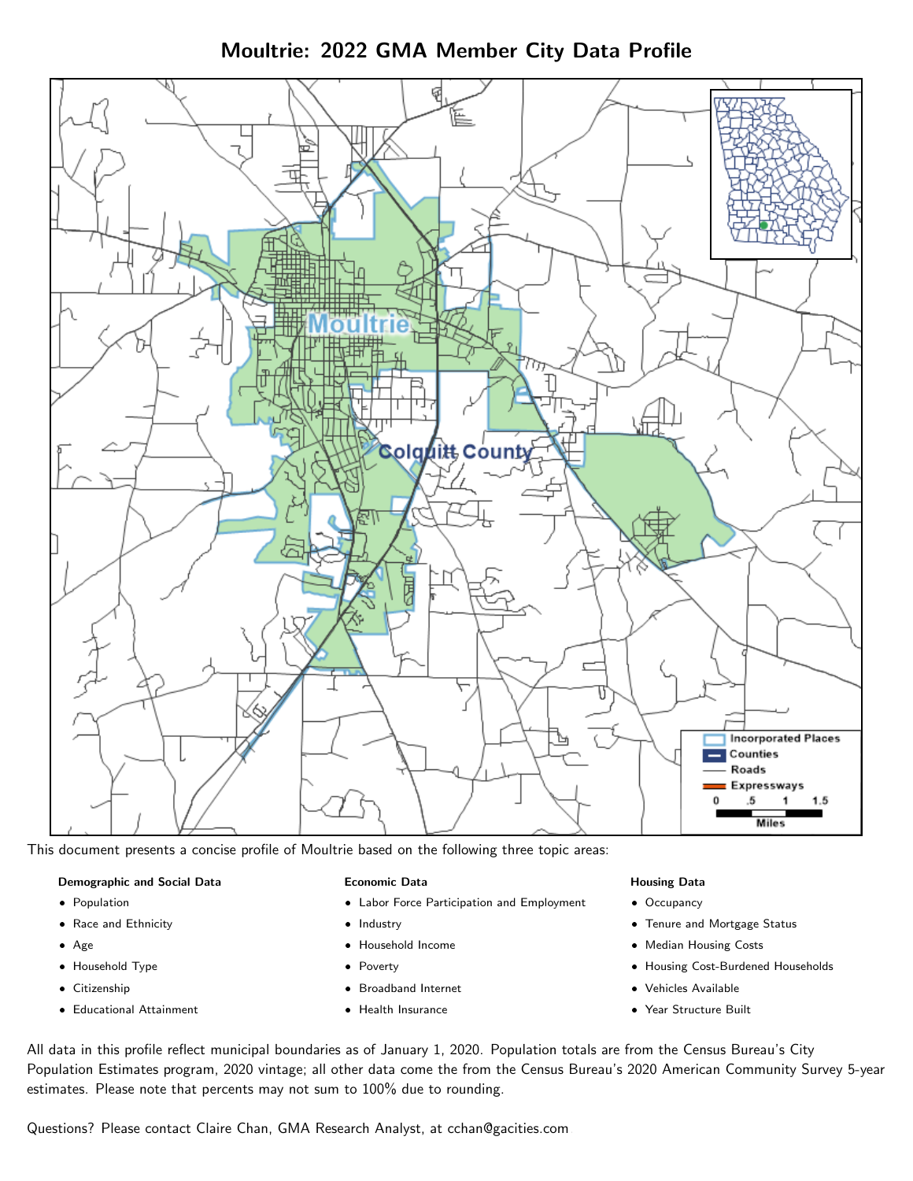Moultrie: 2022 GMA Member City Data Profile



This document presents a concise profile of Moultrie based on the following three topic areas:

#### Demographic and Social Data

- **•** Population
- Race and Ethnicity
- Age
- Household Type
- **Citizenship**
- Educational Attainment

#### Economic Data

- Labor Force Participation and Employment
- Industry
- Household Income
- Poverty
- Broadband Internet
- Health Insurance

#### Housing Data

- Occupancy
- Tenure and Mortgage Status
- Median Housing Costs
- Housing Cost-Burdened Households
- Vehicles Available
- Year Structure Built

All data in this profile reflect municipal boundaries as of January 1, 2020. Population totals are from the Census Bureau's City Population Estimates program, 2020 vintage; all other data come the from the Census Bureau's 2020 American Community Survey 5-year estimates. Please note that percents may not sum to 100% due to rounding.

Questions? Please contact Claire Chan, GMA Research Analyst, at [cchan@gacities.com.](mailto:cchan@gacities.com)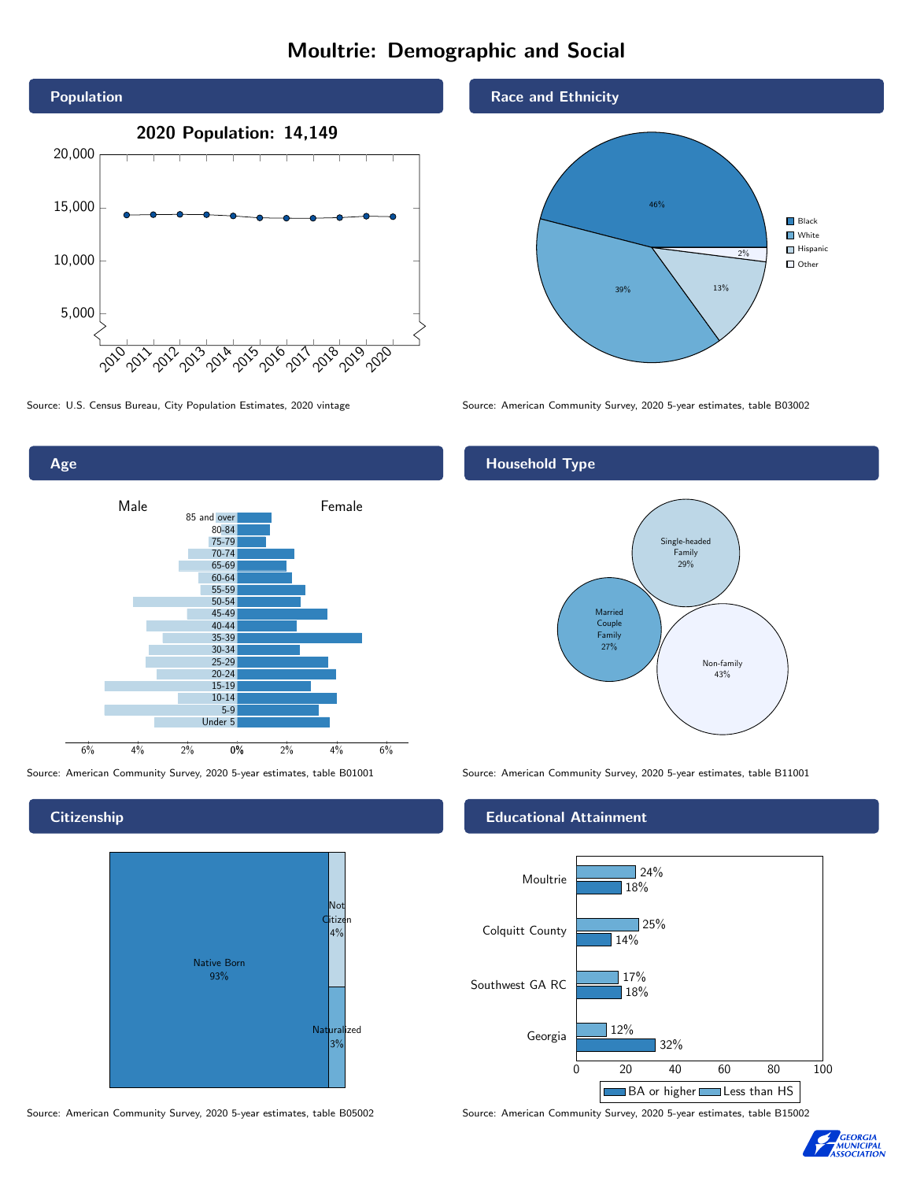# Moultrie: Demographic and Social



Age 0% 2% 4% 6% Male **Female** 6% 4% 2% 85 and over 80-84 75-79 70-74 65-69 60-64 55-59 50-54 45-49 40-44 35-39 30-34 25-29 20-24 15-19  $10-14$ 5-9 Under 5

# **Citizenship**



Source: American Community Survey, 2020 5-year estimates, table B05002 Source: American Community Survey, 2020 5-year estimates, table B15002

Race and Ethnicity



Source: U.S. Census Bureau, City Population Estimates, 2020 vintage Source: American Community Survey, 2020 5-year estimates, table B03002

# Household Type



Source: American Community Survey, 2020 5-year estimates, table B01001 Source: American Community Survey, 2020 5-year estimates, table B11001

## Educational Attainment



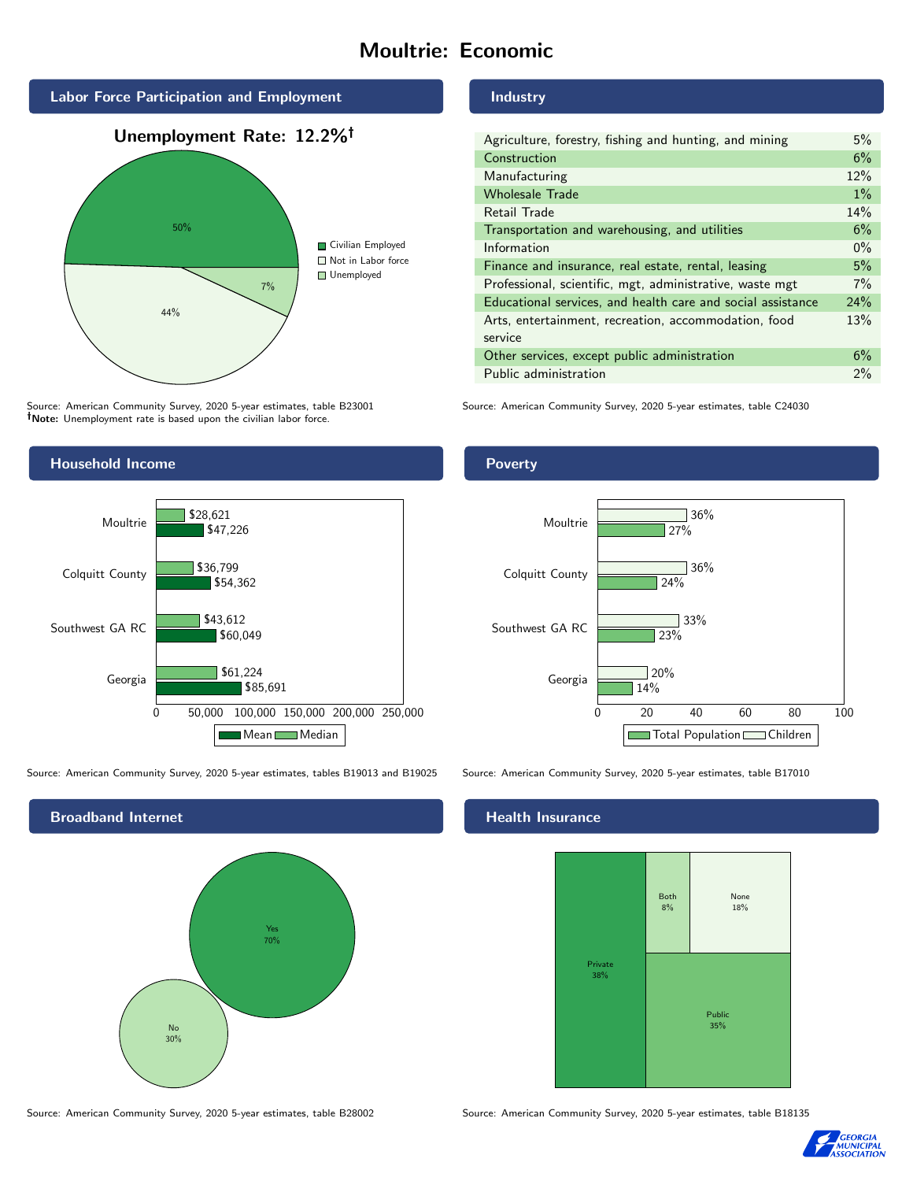# Moultrie: Economic



Source: American Community Survey, 2020 5-year estimates, table B23001 Note: Unemployment rate is based upon the civilian labor force.

## Industry

| Agriculture, forestry, fishing and hunting, and mining      | 5%    |
|-------------------------------------------------------------|-------|
| Construction                                                | 6%    |
| Manufacturing                                               | 12%   |
| <b>Wholesale Trade</b>                                      | $1\%$ |
| Retail Trade                                                | 14%   |
| Transportation and warehousing, and utilities               | 6%    |
| Information                                                 | $0\%$ |
| Finance and insurance, real estate, rental, leasing         | 5%    |
| Professional, scientific, mgt, administrative, waste mgt    | 7%    |
| Educational services, and health care and social assistance | 24%   |
| Arts, entertainment, recreation, accommodation, food        | 13%   |
| service                                                     |       |
| Other services, except public administration                | 6%    |
| Public administration                                       | 2%    |

Source: American Community Survey, 2020 5-year estimates, table C24030



Source: American Community Survey, 2020 5-year estimates, tables B19013 and B19025 Source: American Community Survey, 2020 5-year estimates, table B17010



### Poverty



### Health Insurance



Source: American Community Survey, 2020 5-year estimates, table B28002 Source: American Community Survey, 2020 5-year estimates, table B18135

![](_page_2_Picture_16.jpeg)